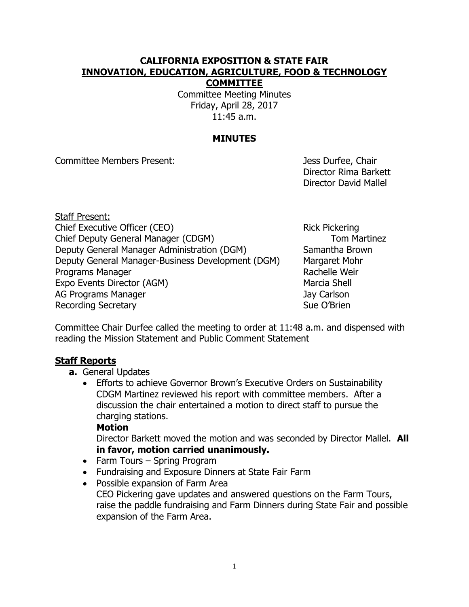### **CALIFORNIA EXPOSITION & STATE FAIR INNOVATION, EDUCATION, AGRICULTURE, FOOD & TECHNOLOGY COMMITTEE**

Committee Meeting Minutes Friday, April 28, 2017 11:45 a.m.

### **MINUTES**

Committee Members Present: Jess Durfee, Chair

Director Rima Barkett Director David Mallel

Staff Present: Chief Executive Officer (CEO) Rick Pickering Chief Deputy General Manager (CDGM) Tom Martinez Deputy General Manager Administration (DGM) Samantha Brown Deputy General Manager-Business Development (DGM) Margaret Mohr Programs Manager **Rachelle Weir** Rachelle Weir Expo Events Director (AGM) Marcia Shell AG Programs Manager Jay Carlson Recording Secretary **Sue O'Brien** Sue O'Brien

Committee Chair Durfee called the meeting to order at 11:48 a.m. and dispensed with reading the Mission Statement and Public Comment Statement

### **Staff Reports**

- **a.** General Updates
	- Efforts to achieve Governor Brown's Executive Orders on Sustainability CDGM Martinez reviewed his report with committee members. After a discussion the chair entertained a motion to direct staff to pursue the charging stations.

#### **Motion**

Director Barkett moved the motion and was seconded by Director Mallel. **All in favor, motion carried unanimously.**

- Farm Tours Spring Program
- Fundraising and Exposure Dinners at State Fair Farm
- Possible expansion of Farm Area
	- CEO Pickering gave updates and answered questions on the Farm Tours, raise the paddle fundraising and Farm Dinners during State Fair and possible expansion of the Farm Area.